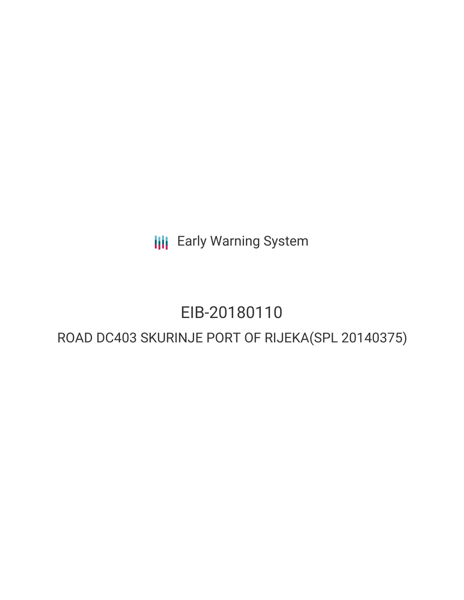**III** Early Warning System

# EIB-20180110

## ROAD DC403 SKURINJE PORT OF RIJEKA(SPL 20140375)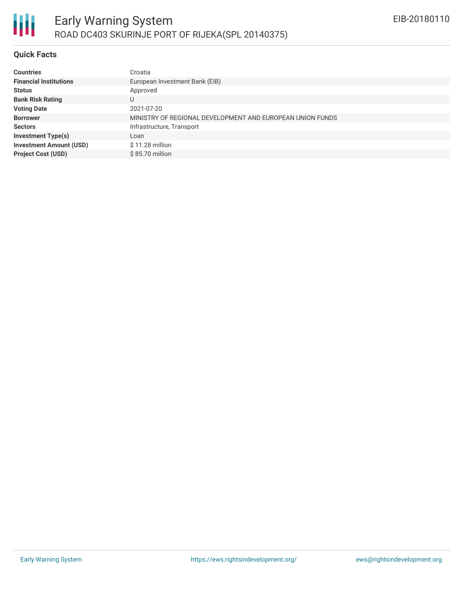

#### **Quick Facts**

| <b>Countries</b>               | Croatia                                                   |
|--------------------------------|-----------------------------------------------------------|
| <b>Financial Institutions</b>  | European Investment Bank (EIB)                            |
| <b>Status</b>                  | Approved                                                  |
| <b>Bank Risk Rating</b>        | U                                                         |
| <b>Voting Date</b>             | 2021-07-20                                                |
| <b>Borrower</b>                | MINISTRY OF REGIONAL DEVELOPMENT AND EUROPEAN UNION FUNDS |
| <b>Sectors</b>                 | Infrastructure, Transport                                 |
| <b>Investment Type(s)</b>      | Loan                                                      |
| <b>Investment Amount (USD)</b> | $$11.28$ million                                          |
| <b>Project Cost (USD)</b>      | \$85.70 million                                           |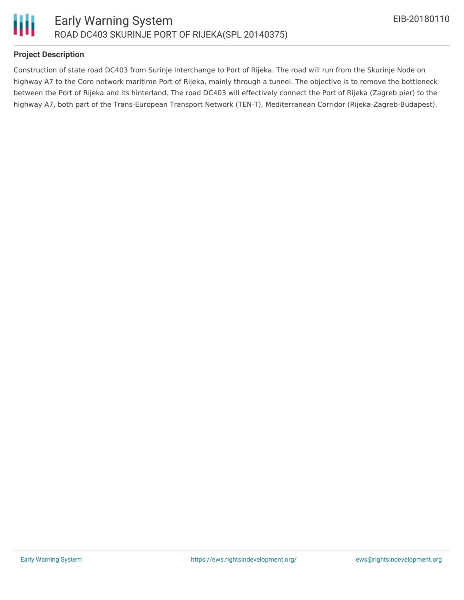

### **Project Description**

Construction of state road DC403 from Surinje Interchange to Port of Rijeka. The road will run from the Skurinje Node on highway A7 to the Core network maritime Port of Rijeka, mainly through a tunnel. The objective is to remove the bottleneck between the Port of Rijeka and its hinterland. The road DC403 will effectively connect the Port of Rijeka (Zagreb pier) to the highway A7, both part of the Trans-European Transport Network (TEN-T), Mediterranean Corridor (Rijeka-Zagreb-Budapest).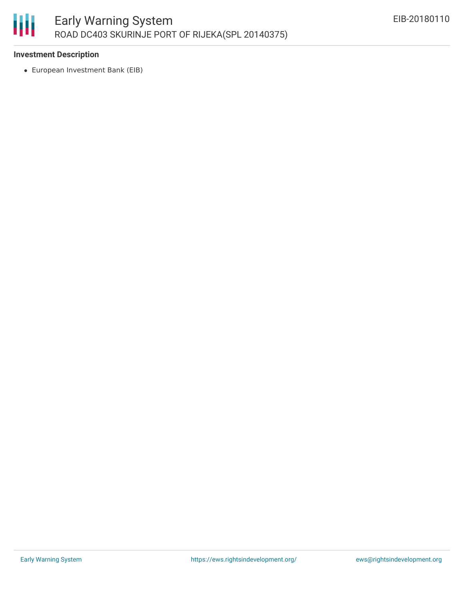

#### **Investment Description**

European Investment Bank (EIB)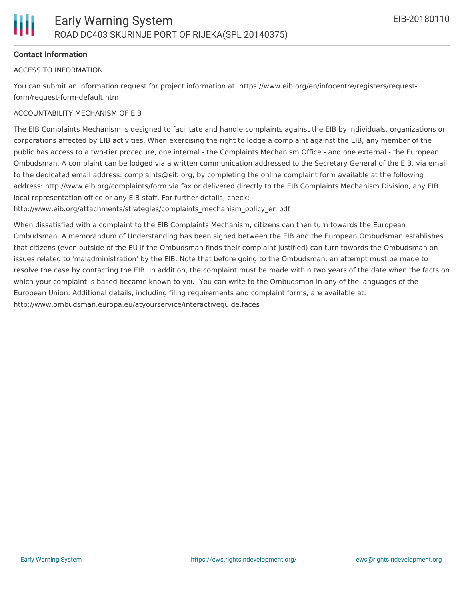#### **Contact Information**

#### ACCESS TO INFORMATION

You can submit an information request for project information at: https://www.eib.org/en/infocentre/registers/requestform/request-form-default.htm

#### ACCOUNTABILITY MECHANISM OF EIB

The EIB Complaints Mechanism is designed to facilitate and handle complaints against the EIB by individuals, organizations or corporations affected by EIB activities. When exercising the right to lodge a complaint against the EIB, any member of the public has access to a two-tier procedure, one internal - the Complaints Mechanism Office - and one external - the European Ombudsman. A complaint can be lodged via a written communication addressed to the Secretary General of the EIB, via email to the dedicated email address: complaints@eib.org, by completing the online complaint form available at the following address: http://www.eib.org/complaints/form via fax or delivered directly to the EIB Complaints Mechanism Division, any EIB local representation office or any EIB staff. For further details, check:

http://www.eib.org/attachments/strategies/complaints\_mechanism\_policy\_en.pdf

When dissatisfied with a complaint to the EIB Complaints Mechanism, citizens can then turn towards the European Ombudsman. A memorandum of Understanding has been signed between the EIB and the European Ombudsman establishes that citizens (even outside of the EU if the Ombudsman finds their complaint justified) can turn towards the Ombudsman on issues related to 'maladministration' by the EIB. Note that before going to the Ombudsman, an attempt must be made to resolve the case by contacting the EIB. In addition, the complaint must be made within two years of the date when the facts on which your complaint is based became known to you. You can write to the Ombudsman in any of the languages of the European Union. Additional details, including filing requirements and complaint forms, are available at: http://www.ombudsman.europa.eu/atyourservice/interactiveguide.faces